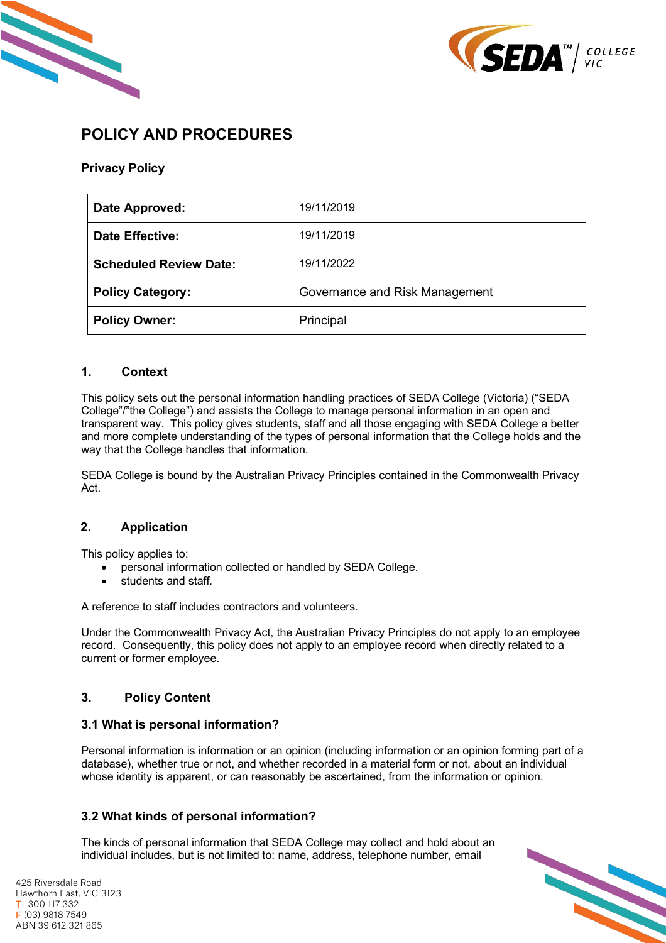



# **POLICY AND PROCEDURES**

## **Privacy Policy**

| Date Approved:                | 19/11/2019                     |
|-------------------------------|--------------------------------|
| <b>Date Effective:</b>        | 19/11/2019                     |
| <b>Scheduled Review Date:</b> | 19/11/2022                     |
| <b>Policy Category:</b>       | Governance and Risk Management |
| <b>Policy Owner:</b>          | Principal                      |

#### **1. Context**

This policy sets out the personal information handling practices of SEDA College (Victoria) ("SEDA College"/"the College") and assists the College to manage personal information in an open and transparent way. This policy gives students, staff and all those engaging with SEDA College a better and more complete understanding of the types of personal information that the College holds and the way that the College handles that information.

SEDA College is bound by the Australian Privacy Principles contained in the Commonwealth Privacy Act.

## **2. Application**

This policy applies to:

- personal information collected or handled by SEDA College.
- students and staff.

A reference to staff includes contractors and volunteers.

Under the Commonwealth Privacy Act, the Australian Privacy Principles do not apply to an employee record. Consequently, this policy does not apply to an employee record when directly related to a current or former employee.

## **3. Policy Content**

## **3.1 What is personal information?**

Personal information is information or an opinion (including information or an opinion forming part of a database), whether true or not, and whether recorded in a material form or not, about an individual whose identity is apparent, or can reasonably be ascertained, from the information or opinion.

## **3.2 What kinds of personal information?**

The kinds of personal information that SEDA College may collect and hold about an individual includes, but is not limited to: name, address, telephone number, email

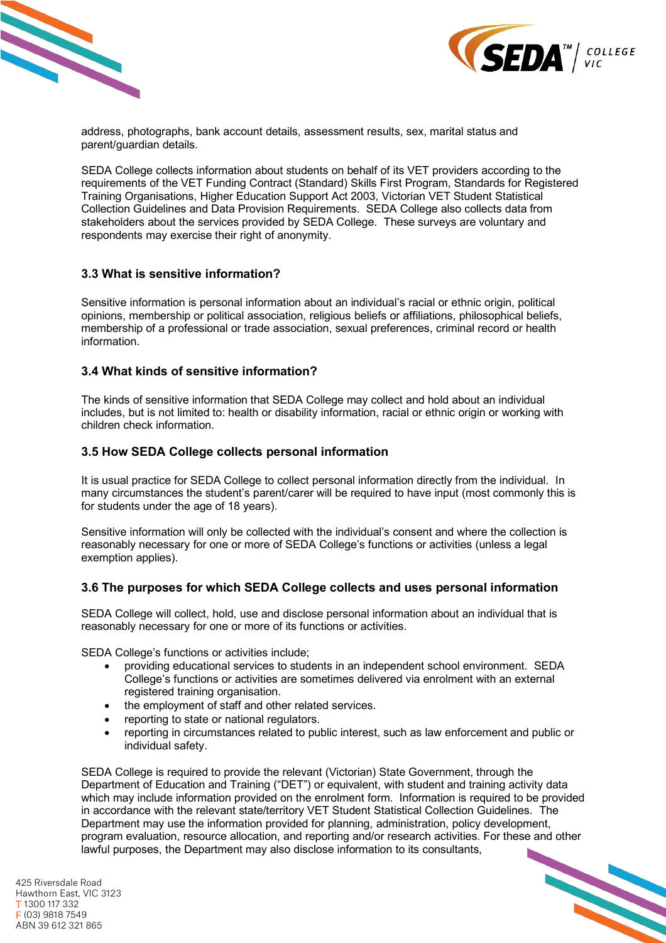



address, photographs, bank account details, assessment results, sex, marital status and parent/guardian details.

SEDA College collects information about students on behalf of its VET providers according to the requirements of the VET Funding Contract (Standard) Skills First Program, Standards for Registered Training Organisations, Higher Education Support Act 2003, Victorian VET Student Statistical Collection Guidelines and Data Provision Requirements. SEDA College also collects data from stakeholders about the services provided by SEDA College. These surveys are voluntary and respondents may exercise their right of anonymity.

#### **3.3 What is sensitive information?**

Sensitive information is personal information about an individual's racial or ethnic origin, political opinions, membership or political association, religious beliefs or affiliations, philosophical beliefs, membership of a professional or trade association, sexual preferences, criminal record or health information.

#### **3.4 What kinds of sensitive information?**

The kinds of sensitive information that SEDA College may collect and hold about an individual includes, but is not limited to: health or disability information, racial or ethnic origin or working with children check information.

#### **3.5 How SEDA College collects personal information**

It is usual practice for SEDA College to collect personal information directly from the individual. In many circumstances the student's parent/carer will be required to have input (most commonly this is for students under the age of 18 years).

Sensitive information will only be collected with the individual's consent and where the collection is reasonably necessary for one or more of SEDA College's functions or activities (unless a legal exemption applies).

#### **3.6 The purposes for which SEDA College collects and uses personal information**

SEDA College will collect, hold, use and disclose personal information about an individual that is reasonably necessary for one or more of its functions or activities.

SEDA College's functions or activities include;

- providing educational services to students in an independent school environment. SEDA College's functions or activities are sometimes delivered via enrolment with an external registered training organisation.
- the employment of staff and other related services.
- reporting to state or national regulators.
- reporting in circumstances related to public interest, such as law enforcement and public or individual safety.

SEDA College is required to provide the relevant (Victorian) State Government, through the Department of Education and Training ("DET") or equivalent, with student and training activity data which may include information provided on the enrolment form. Information is required to be provided in accordance with the relevant state/territory VET Student Statistical Collection Guidelines. The Department may use the information provided for planning, administration, policy development, program evaluation, resource allocation, and reporting and/or research activities. For these and other lawful purposes, the Department may also disclose information to its consultants,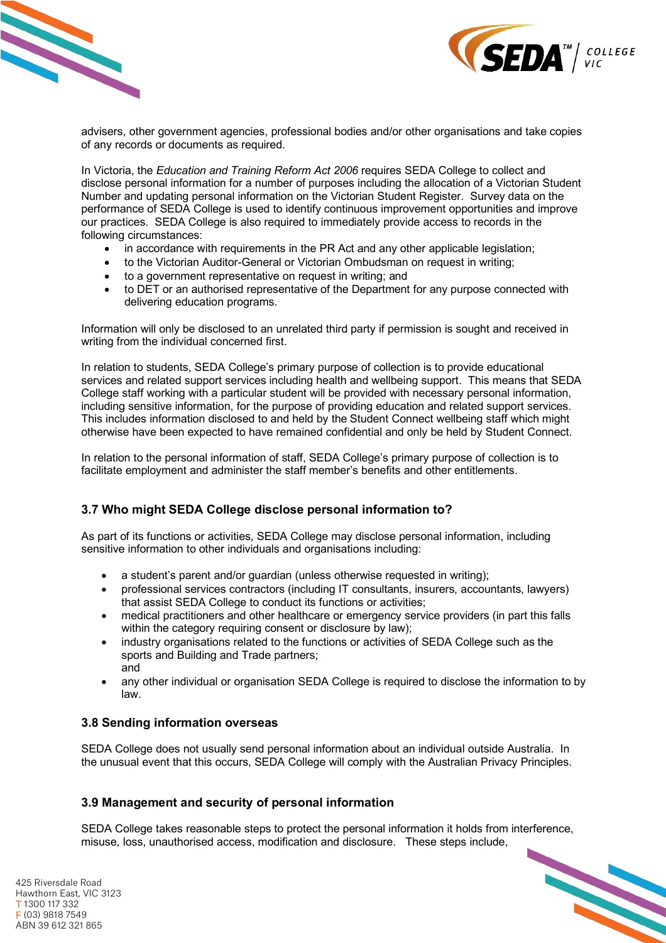



advisers, other government agencies, professional bodies and/or other organisations and take copies of any records or documents as required.

In Victoria, the *Education and Training Reform Act 2006* requires SEDA College to collect and disclose personal information for a number of purposes including the allocation of a Victorian Student Number and updating personal information on the Victorian Student Register. Survey data on the performance of SEDA College is used to identify continuous improvement opportunities and improve our practices. SEDA College is also required to immediately provide access to records in the following circumstances:

- in accordance with requirements in the PR Act and any other applicable legislation;
- to the Victorian Auditor-General or Victorian Ombudsman on request in writing;
- to a government representative on request in writing; and
- to DET or an authorised representative of the Department for any purpose connected with delivering education programs.

Information will only be disclosed to an unrelated third party if permission is sought and received in writing from the individual concerned first.

In relation to students, SEDA College's primary purpose of collection is to provide educational services and related support services including health and wellbeing support. This means that SEDA College staff working with a particular student will be provided with necessary personal information, including sensitive information, for the purpose of providing education and related support services. This includes information disclosed to and held by the Student Connect wellbeing staff which might otherwise have been expected to have remained confidential and only be held by Student Connect.

In relation to the personal information of staff, SEDA College's primary purpose of collection is to facilitate employment and administer the staff member's benefits and other entitlements.

## **3.7 Who might SEDA College disclose personal information to?**

As part of its functions or activities, SEDA College may disclose personal information, including sensitive information to other individuals and organisations including:

- a student's parent and/or quardian (unless otherwise requested in writing);
- professional services contractors (including IT consultants, insurers, accountants, lawyers) that assist SEDA College to conduct its functions or activities;
- medical practitioners and other healthcare or emergency service providers (in part this falls within the category requiring consent or disclosure by law);
- industry organisations related to the functions or activities of SEDA College such as the sports and Building and Trade partners; and
- any other individual or organisation SEDA College is required to disclose the information to by law.

#### **3.8 Sending information overseas**

SEDA College does not usually send personal information about an individual outside Australia. In the unusual event that this occurs, SEDA College will comply with the Australian Privacy Principles.

#### **3.9 Management and security of personal information**

SEDA College takes reasonable steps to protect the personal information it holds from interference, misuse, loss, unauthorised access, modification and disclosure. These steps include,

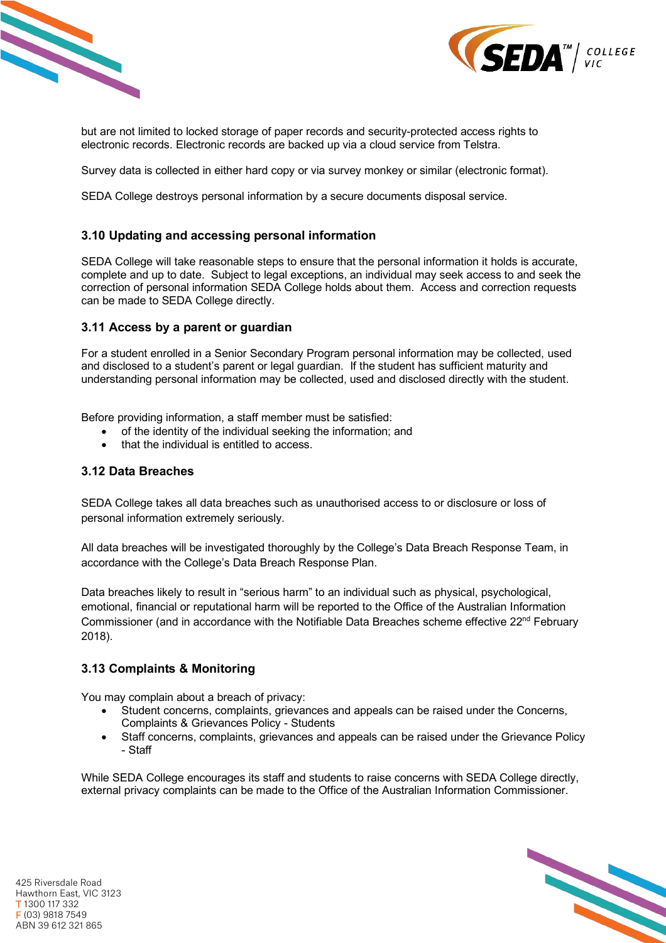



but are not limited to locked storage of paper records and security-protected access rights to electronic records. Electronic records are backed up via a cloud service from Telstra.

Survey data is collected in either hard copy or via survey monkey or similar (electronic format).

SEDA College destroys personal information by a secure documents disposal service.

#### **3.10 Updating and accessing personal information**

SEDA College will take reasonable steps to ensure that the personal information it holds is accurate, complete and up to date. Subject to legal exceptions, an individual may seek access to and seek the correction of personal information SEDA College holds about them. Access and correction requests can be made to SEDA College directly.

#### **3.11 Access by a parent or guardian**

For a student enrolled in a Senior Secondary Program personal information may be collected, used and disclosed to a student's parent or legal guardian. If the student has sufficient maturity and understanding personal information may be collected, used and disclosed directly with the student.

Before providing information, a staff member must be satisfied:

- of the identity of the individual seeking the information; and
- that the individual is entitled to access.

#### **3.12 Data Breaches**

SEDA College takes all data breaches such as unauthorised access to or disclosure or loss of personal information extremely seriously.

All data breaches will be investigated thoroughly by the College's Data Breach Response Team, in accordance with the College's Data Breach Response Plan.

Data breaches likely to result in "serious harm" to an individual such as physical, psychological, emotional, financial or reputational harm will be reported to the Office of the Australian Information Commissioner (and in accordance with the Notifiable Data Breaches scheme effective 22nd February 2018).

## **3.13 Complaints & Monitoring**

You may complain about a breach of privacy:

- Student concerns, complaints, grievances and appeals can be raised under the Concerns, Complaints & Grievances Policy - Students
- Staff concerns, complaints, grievances and appeals can be raised under the Grievance Policy - Staff

While SEDA College encourages its staff and students to raise concerns with SEDA College directly, external privacy complaints can be made to the Office of the Australian Information Commissioner.

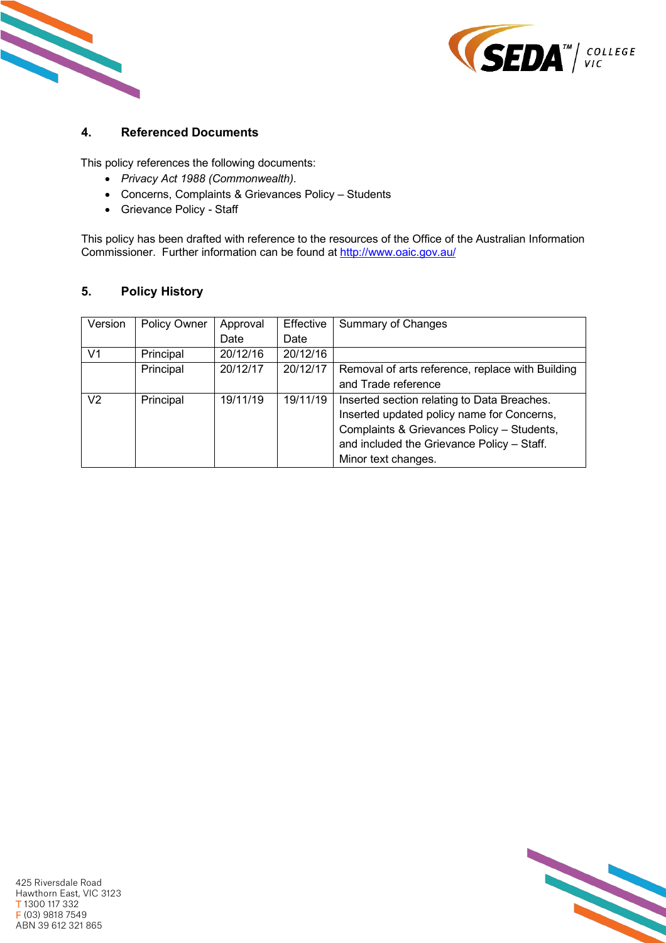



## **4. Referenced Documents**

This policy references the following documents:

- *Privacy Act 1988 (Commonwealth).*
- Concerns, Complaints & Grievances Policy Students
- Grievance Policy Staff

This policy has been drafted with reference to the resources of the Office of the Australian Information Commissioner. Further information can be found at http://www.oaic.gov.au/

## **5. Policy History**

| Version        | Policy Owner | Approval | Effective | <b>Summary of Changes</b>                        |
|----------------|--------------|----------|-----------|--------------------------------------------------|
|                |              | Date     | Date      |                                                  |
| V <sub>1</sub> | Principal    | 20/12/16 | 20/12/16  |                                                  |
|                | Principal    | 20/12/17 | 20/12/17  | Removal of arts reference, replace with Building |
|                |              |          |           | and Trade reference                              |
| V <sub>2</sub> | Principal    | 19/11/19 | 19/11/19  | Inserted section relating to Data Breaches.      |
|                |              |          |           | Inserted updated policy name for Concerns,       |
|                |              |          |           | Complaints & Grievances Policy - Students,       |
|                |              |          |           | and included the Grievance Policy - Staff.       |
|                |              |          |           | Minor text changes.                              |